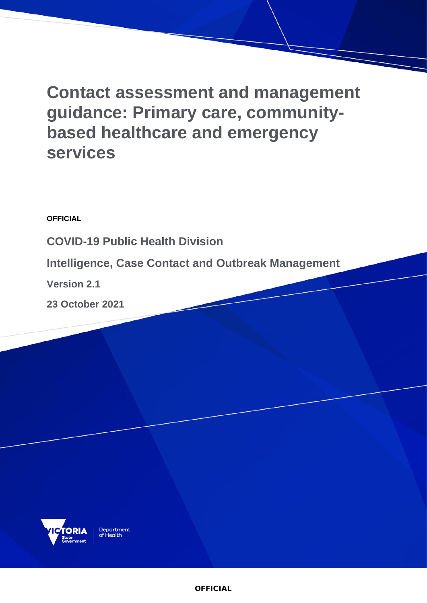# **Contact assessment and management guidance: Primary care, communitybased healthcare and emergency services**

**OFFICIAL**

**COVID-19 Public Health Division** 

**Intelligence, Case Contact and Outbreak Management**

**Version 2.1**

**23 October 2021**



Department<br>of Health

**OFFICIAL**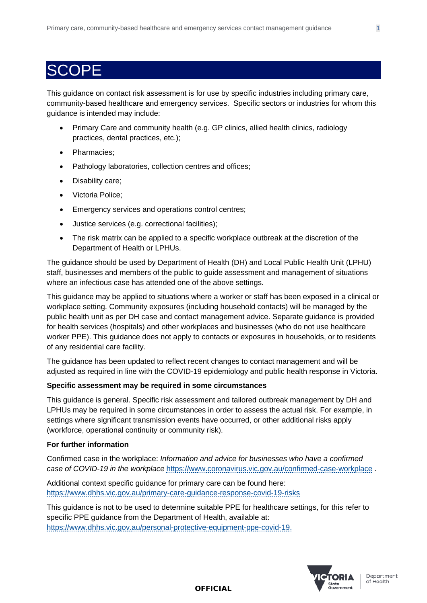### SCOPE

This guidance on contact risk assessment is for use by specific industries including primary care, community-based healthcare and emergency services. Specific sectors or industries for whom this guidance is intended may include:

- Primary Care and community health (e.g. GP clinics, allied health clinics, radiology practices, dental practices, etc.);
- Pharmacies;
- Pathology laboratories, collection centres and offices;
- Disability care;
- Victoria Police;
- Emergency services and operations control centres;
- Justice services (e.g. correctional facilities);
- The risk matrix can be applied to a specific workplace outbreak at the discretion of the Department of Health or LPHUs.

The guidance should be used by Department of Health (DH) and Local Public Health Unit (LPHU) staff, businesses and members of the public to guide assessment and management of situations where an infectious case has attended one of the above settings.

This guidance may be applied to situations where a worker or staff has been exposed in a clinical or workplace setting. Community exposures (including household contacts) will be managed by the public health unit as per DH case and contact management advice. Separate guidance is provided for health services (hospitals) and other workplaces and businesses (who do not use healthcare worker PPE). This guidance does not apply to contacts or exposures in households, or to residents of any residential care facility.

The guidance has been updated to reflect recent changes to contact management and will be adjusted as required in line with the COVID-19 epidemiology and public health response in Victoria.

#### **Specific assessment may be required in some circumstances**

This guidance is general. Specific risk assessment and tailored outbreak management by DH and LPHUs may be required in some circumstances in order to assess the actual risk. For example, in settings where significant transmission events have occurred, or other additional risks apply (workforce, operational continuity or community risk).

#### **For further information**

Confirmed case in the workplace: *Information and advice for businesses who have a confirmed case of COVID-19 in the workplace* <https://www.coronavirus.vic.gov.au/confirmed-case-workplace> .

Additional context specific guidance for primary care can be found here: <https://www.dhhs.vic.gov.au/primary-care-guidance-response-covid-19-risks>

This guidance is not to be used to determine suitable PPE for healthcare settings, for this refer to specific PPE guidance from the Department of Health, available at: [https://www.dhhs.vic.gov.au/personal-protective-equipment-ppe-covid-19.](https://www.dhhs.vic.gov.au/personal-protective-equipment-ppe-covid-19)



Department of Health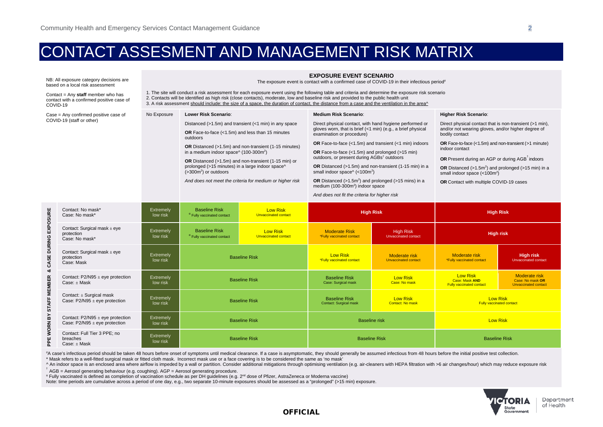## CONTACT ASSESMENT AND MANAGEMENT RISK MATRIX

| NB: All exposure category decisions are<br>based on a local risk assessment                   |                       | <b>EXPOSURE EVENT SCENARIO</b><br>The exposure event is contact with a confirmed case of COVID-19 in their infectious period <sup>#</sup>                                                                                                                                                                                                                                                                                                                               |                                                                                                                                                                                                                                                                                                                                                                                 |                                                       |                                                                                                                                                                                                                                                                                                                                                                                                                                          |                                                                             |                                                                                                                                                                                                                                                                                                                                                     |                                                                         |                                                          |                                                               |                                                                                                            |  |                                         |  |
|-----------------------------------------------------------------------------------------------|-----------------------|-------------------------------------------------------------------------------------------------------------------------------------------------------------------------------------------------------------------------------------------------------------------------------------------------------------------------------------------------------------------------------------------------------------------------------------------------------------------------|---------------------------------------------------------------------------------------------------------------------------------------------------------------------------------------------------------------------------------------------------------------------------------------------------------------------------------------------------------------------------------|-------------------------------------------------------|------------------------------------------------------------------------------------------------------------------------------------------------------------------------------------------------------------------------------------------------------------------------------------------------------------------------------------------------------------------------------------------------------------------------------------------|-----------------------------------------------------------------------------|-----------------------------------------------------------------------------------------------------------------------------------------------------------------------------------------------------------------------------------------------------------------------------------------------------------------------------------------------------|-------------------------------------------------------------------------|----------------------------------------------------------|---------------------------------------------------------------|------------------------------------------------------------------------------------------------------------|--|-----------------------------------------|--|
| Contact = $Any$ staff member who has<br>contact with a confirmed positive case of<br>COVID-19 |                       | 1. The site will conduct a risk assessment for each exposure event using the following table and criteria and determine the exposure risk scenario<br>2. Contacts will be identified as high risk (close contacts), moderate, low and baseline risk and provided to the public health unit<br>3. A risk assessment should include: the size of a space, the duration of contact, the distance from a case and the ventilation in the area <sup><math>\land</math></sup> |                                                                                                                                                                                                                                                                                                                                                                                 |                                                       |                                                                                                                                                                                                                                                                                                                                                                                                                                          |                                                                             |                                                                                                                                                                                                                                                                                                                                                     |                                                                         |                                                          |                                                               |                                                                                                            |  |                                         |  |
| Case = Any confirmed positive case of<br>COVID-19 (staff or other)                            |                       | No Exposure                                                                                                                                                                                                                                                                                                                                                                                                                                                             | Lower Risk Scenario:                                                                                                                                                                                                                                                                                                                                                            |                                                       | <b>Medium Risk Scenario:</b>                                                                                                                                                                                                                                                                                                                                                                                                             |                                                                             | <b>Higher Risk Scenario:</b>                                                                                                                                                                                                                                                                                                                        |                                                                         |                                                          |                                                               |                                                                                                            |  |                                         |  |
|                                                                                               |                       |                                                                                                                                                                                                                                                                                                                                                                                                                                                                         | Distanced (>1.5m) and transient (<1 min) in any space<br>OR Face-to-face (<1.5m) and less than 15 minutes<br>outdoors<br>OR Distanced (>1.5m) and non-transient (1-15 minutes)<br>in a medium indoor space^ (100-300m <sup>2</sup> )<br>OR Distanced (>1.5m) and non-transient (1-15 min) or<br>prolonged (>15 minutes) in a large indoor space^<br>$($ >300 $m2$ ) or outdoors |                                                       | Direct physical contact, with hand hygiene performed or<br>gloves worn, that is brief (<1 min) (e.g., a brief physical<br>examination or procedure)<br>OR Face-to-face (<1.5m) and transient (<1 min) indoors<br><b>OR</b> Face-to-face (<1.5m) and prolonged (>15 min)<br>outdoors, or present during AGBs <sup>t</sup> outdoors<br>OR Distanced (>1.5m) and non-transient (1-15 min) in a<br>small indoor space^ (<100m <sup>2</sup> ) |                                                                             | Direct physical contact that is non-transient (>1 min),<br>and/or not wearing gloves, and/or higher degree of<br>bodily contact<br>OR Face-to-face (<1.5m) and non-transient (>1 minute)<br>indoor contact<br>OR Present during an AGP or during AGB <sup>T</sup> indoors<br>OR Distanced ( $>1.5$ m <sup>2</sup> ) and prolonged ( $>15$ min) in a |                                                                         |                                                          |                                                               |                                                                                                            |  |                                         |  |
|                                                                                               |                       |                                                                                                                                                                                                                                                                                                                                                                                                                                                                         |                                                                                                                                                                                                                                                                                                                                                                                 |                                                       |                                                                                                                                                                                                                                                                                                                                                                                                                                          |                                                                             |                                                                                                                                                                                                                                                                                                                                                     |                                                                         | small indoor space $(<100m2)$                            |                                                               |                                                                                                            |  |                                         |  |
|                                                                                               |                       |                                                                                                                                                                                                                                                                                                                                                                                                                                                                         |                                                                                                                                                                                                                                                                                                                                                                                 |                                                       |                                                                                                                                                                                                                                                                                                                                                                                                                                          |                                                                             |                                                                                                                                                                                                                                                                                                                                                     |                                                                         | And does not meet the criteria for medium or higher risk |                                                               | OR Distanced ( $>1.5m2$ ) and prolonged ( $>15$ mins) in a<br>medium (100-300m <sup>2</sup> ) indoor space |  | OR Contact with multiple COVID-19 cases |  |
|                                                                                               |                       |                                                                                                                                                                                                                                                                                                                                                                                                                                                                         |                                                                                                                                                                                                                                                                                                                                                                                 |                                                       |                                                                                                                                                                                                                                                                                                                                                                                                                                          |                                                                             |                                                                                                                                                                                                                                                                                                                                                     |                                                                         |                                                          |                                                               | And does not fit the criteria for higher risk                                                              |  |                                         |  |
|                                                                                               |                       |                                                                                                                                                                                                                                                                                                                                                                                                                                                                         |                                                                                                                                                                                                                                                                                                                                                                                 |                                                       |                                                                                                                                                                                                                                                                                                                                                                                                                                          |                                                                             | CASE DURING EXPOSURE<br>ಹ<br>STAFF MEMBER<br>$\mathbf{\tilde{s}}$<br>PPE WORN                                                                                                                                                                                                                                                                       | Contact: No mask*<br>Case: No mask*                                     | Extremely<br>low risk                                    | <b>Baseline Risk</b><br><sup>a</sup> Fully vaccinated contact | <b>Low Risk</b><br><b>Unvaccinated contact</b>                                                             |  | <b>High Risk</b>                        |  |
|                                                                                               |                       |                                                                                                                                                                                                                                                                                                                                                                                                                                                                         | Contact: Surgical mask $\pm$ eye<br>protection<br>Case: No mask*                                                                                                                                                                                                                                                                                                                | Extremely<br>low risk                                 | <b>Baseline Risk</b><br><sup>a</sup> Fully vaccinated contact                                                                                                                                                                                                                                                                                                                                                                            | <b>Low Risk</b><br><b>Unvaccinated contact</b>                              |                                                                                                                                                                                                                                                                                                                                                     | <b>Moderate Risk</b><br><b>"Fully vaccinated contact</b>                | <b>High Risk</b><br>Unvaccinated contact                 | <b>High risk</b>                                              |                                                                                                            |  |                                         |  |
|                                                                                               |                       |                                                                                                                                                                                                                                                                                                                                                                                                                                                                         | Contact: Surgical mask $\pm$ eye<br>protection<br>Case: Mask                                                                                                                                                                                                                                                                                                                    | <b>Extremely</b><br>low risk                          | <b>Baseline Risk</b>                                                                                                                                                                                                                                                                                                                                                                                                                     |                                                                             |                                                                                                                                                                                                                                                                                                                                                     | <b>Low Risk</b><br><b>"Fully vaccinated contact</b>                     | Moderate risk<br><b>Unvaccinated contact</b>             | Moderate risk<br><b>"Fully vaccinated contact</b>             | <b>High risk</b><br><b>Unvaccinated contact</b>                                                            |  |                                         |  |
| Contact: $P2/N95 \pm eye$ protection<br>$Case: + Mask$                                        | Extremely<br>low risk | <b>Baseline Risk</b>                                                                                                                                                                                                                                                                                                                                                                                                                                                    |                                                                                                                                                                                                                                                                                                                                                                                 | <b>Baseline Risk</b><br>Case: Surgical mask           | <b>Low Risk</b><br>Case: No mask                                                                                                                                                                                                                                                                                                                                                                                                         | <b>Low Risk</b><br><b>Case: Mask AND</b><br><b>Fully vaccinated contact</b> |                                                                                                                                                                                                                                                                                                                                                     | <b>Moderate risk</b><br>Case: No mask OR<br><b>Unvaccinated contact</b> |                                                          |                                                               |                                                                                                            |  |                                         |  |
| Contact: $\pm$ Surgical mask<br>Case: $P2/N95 \pm eye$ protection                             | Extremely<br>low risk | <b>Baseline Risk</b>                                                                                                                                                                                                                                                                                                                                                                                                                                                    |                                                                                                                                                                                                                                                                                                                                                                                 | <b>Baseline Risk</b><br><b>Contact: Surgical mask</b> | <b>Low Risk</b><br><b>Contact: No mask</b>                                                                                                                                                                                                                                                                                                                                                                                               | <b>Low Risk</b><br><b>Fully vaccinated contact</b>                          |                                                                                                                                                                                                                                                                                                                                                     |                                                                         |                                                          |                                                               |                                                                                                            |  |                                         |  |
| Contact: $P2/N95 \pm eye$ protection<br>Case: $P2/N95 \pm eye$ protection                     | Extremely<br>low risk | <b>Baseline Risk</b>                                                                                                                                                                                                                                                                                                                                                                                                                                                    |                                                                                                                                                                                                                                                                                                                                                                                 | <b>Baseline</b> risk                                  |                                                                                                                                                                                                                                                                                                                                                                                                                                          | <b>Low Risk</b>                                                             |                                                                                                                                                                                                                                                                                                                                                     |                                                                         |                                                          |                                                               |                                                                                                            |  |                                         |  |
| Contact: Full Tier 3 PPE; no<br>breaches<br>Case: $\pm$ Mask                                  | Extremely<br>low risk | <b>Baseline Risk</b>                                                                                                                                                                                                                                                                                                                                                                                                                                                    |                                                                                                                                                                                                                                                                                                                                                                                 | <b>Baseline Risk</b>                                  |                                                                                                                                                                                                                                                                                                                                                                                                                                          | <b>Baseline Risk</b>                                                        |                                                                                                                                                                                                                                                                                                                                                     |                                                                         |                                                          |                                                               |                                                                                                            |  |                                         |  |

#A case's infectious period should be taken 48 hours before onset of symptoms until medical clearance. If a case is asymptomatic, they should generally be assumed infectious from 48 hours before the initial positive test c

\* Mask refers to a well-fitted surgical mask or fitted cloth mask. Incorrect mask use or a face covering is to be considered the same as 'no mask'

^ An indoor space is an enclosed area where airflow is impeded by a wall or partition. Consider additional mitigations through optimising ventilation (e.g. air-cleaners with HEPA filtration with >6 air changes/hour) which

<sup>α</sup> Fully vaccinated is defined as completion of vaccination schedule as per DH guidelines (e.g. 2nd dose of Pfizer, AstraZeneca or Moderna vaccine)

Note: time periods are cumulative across a period of one day, e.g., two separate 10-minute exposures should be assessed as a "prolonged" (>15 min) exposure.



Department of Health

#### **OFFICIAL**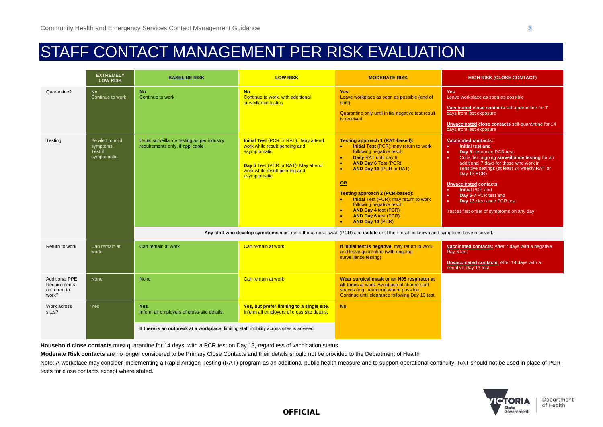## STAFF CONTACT MANAGEMENT PER RISK EVALUATION

|                                                                | <b>EXTREMELY</b><br><b>LOW RISK</b>                      | <b>BASELINE RISK</b>                                                                    | <b>LOW RISK</b>                                                                                                                                                                         | <b>MODERATE RISK</b>                                                                                                                                                                                                                                                                                                                                                                                                                                                                                                                                                                                                        | <b>HIGH RISK (CLOSE CONTACT)</b>                                                                                                                                                                                                                                                                                                                                                                                                                                                     |
|----------------------------------------------------------------|----------------------------------------------------------|-----------------------------------------------------------------------------------------|-----------------------------------------------------------------------------------------------------------------------------------------------------------------------------------------|-----------------------------------------------------------------------------------------------------------------------------------------------------------------------------------------------------------------------------------------------------------------------------------------------------------------------------------------------------------------------------------------------------------------------------------------------------------------------------------------------------------------------------------------------------------------------------------------------------------------------------|--------------------------------------------------------------------------------------------------------------------------------------------------------------------------------------------------------------------------------------------------------------------------------------------------------------------------------------------------------------------------------------------------------------------------------------------------------------------------------------|
| Quarantine?                                                    | <b>No</b><br>Continue to work                            | <b>No</b><br>Continue to work                                                           | <b>No</b><br>Continue to work, with additional<br>surveillance testing                                                                                                                  | <b>Yes</b><br>Leave workplace as soon as possible (end of<br>shift)<br>Quarantine only until initial negative test result<br>is received                                                                                                                                                                                                                                                                                                                                                                                                                                                                                    | <b>Yes</b><br>Leave workplace as soon as possible<br>Vaccinated close contacts self-quarantine for 7<br>days from last exposure<br>Unvaccinated close contacts self-quarantine for 14<br>days from last exposure                                                                                                                                                                                                                                                                     |
| Testing                                                        | Be alert to mild<br>symptoms.<br>Test if<br>symptomatic. | Usual surveillance testing as per industry<br>requirements only, if applicable          | <b>Initial Test (PCR or RAT). May attend</b><br>work while result pending and<br>asymptomatic.<br>Day 5 Test (PCR or RAT). May attend<br>work while result pending and<br>asymptomatic. | <b>Testing approach 1 (RAT-based):</b><br>Initial Test (PCR); may return to work<br>$\bullet$<br>following negative result<br><b>Daily RAT until day 6</b><br>$\bullet$<br><b>AND Day 6 Test (PCR)</b><br><b>AND Day 13 (PCR or RAT)</b><br><b>OR</b><br><b>Testing approach 2 (PCR-based):</b><br><b>Initial Test (PCR); may return to work</b><br>following negative result<br><b>AND Day 4 test (PCR)</b><br><b>AND Day 6 test (PCR)</b><br>$\bullet$<br><b>AND Day 13 (PCR)</b><br>Any staff who develop symptoms must get a throat-nose swab (PCR) and isolate until their result is known and symptoms have resolved. | <b>Vaccinated contacts:</b><br>Initial test and<br>$\bullet$ .<br>Day 6 clearance PCR test<br>$\bullet$<br>$\bullet$<br>Consider ongoing surveillance testing for an<br>additional 7 days for those who work in<br>sensitive settings (at least 3x weekly RAT or<br>Day 13 PCR)<br><b>Unvaccinated contacts:</b><br><b>Initial PCR and</b><br>$\bullet$<br>Day 5-7 PCR test and<br>$\bullet$<br>Day 13 clearance PCR test<br>$\bullet$<br>Test at first onset of symptoms on any day |
|                                                                |                                                          |                                                                                         |                                                                                                                                                                                         |                                                                                                                                                                                                                                                                                                                                                                                                                                                                                                                                                                                                                             |                                                                                                                                                                                                                                                                                                                                                                                                                                                                                      |
| Return to work                                                 | Can remain at<br>work                                    | Can remain at work                                                                      | Can remain at work                                                                                                                                                                      | If initial test is negative, may return to work<br>and leave quarantine (with ongoing<br>surveillance testing)                                                                                                                                                                                                                                                                                                                                                                                                                                                                                                              | Vaccinated contacts: After 7 days with a negative<br>Day 6 test<br>Unvaccinated contacts: After 14 days with a<br>negative Day 13 test                                                                                                                                                                                                                                                                                                                                               |
| <b>Additional PPE</b><br>Requirements<br>on return to<br>work? | None                                                     | <b>None</b>                                                                             | Can remain at work                                                                                                                                                                      | Wear surgical mask or an N95 respirator at<br>all times at work. Avoid use of shared staff<br>spaces (e.g., tearoom) where possible.<br>Continue until clearance following Day 13 test.                                                                                                                                                                                                                                                                                                                                                                                                                                     |                                                                                                                                                                                                                                                                                                                                                                                                                                                                                      |
| Work across<br>sites?                                          | Yes                                                      | Yes.<br>Inform all employers of cross-site details.                                     | Yes, but prefer limiting to a single site.<br>Inform all employers of cross-site details.                                                                                               | <b>No</b>                                                                                                                                                                                                                                                                                                                                                                                                                                                                                                                                                                                                                   |                                                                                                                                                                                                                                                                                                                                                                                                                                                                                      |
|                                                                |                                                          | If there is an outbreak at a workplace: limiting staff mobility across sites is advised |                                                                                                                                                                                         |                                                                                                                                                                                                                                                                                                                                                                                                                                                                                                                                                                                                                             |                                                                                                                                                                                                                                                                                                                                                                                                                                                                                      |

**Household close contacts** must quarantine for 14 days, with a PCR test on Day 13, regardless of vaccination status

**Moderate Risk contacts** are no longer considered to be Primary Close Contacts and their details should not be provided to the Department of Health

Note: A workplace may consider implementing a Rapid Antigen Testing (RAT) program as an additional public health measure and to support operational continuity. RAT should not be used in place of PCR tests for close contacts except where stated.